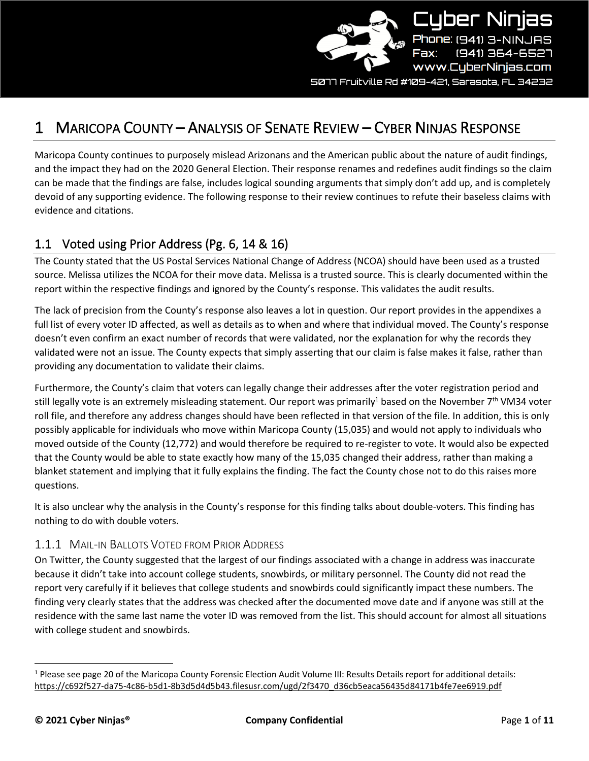

5077 Fruitville Rd #109–421, Sarasota, FL 34232

# 1 MARICOPA COUNTY – ANALYSIS OF SENATE REVIEW – CYBER NINJAS RESPONSE

Maricopa County continues to purposely mislead Arizonans and the American public about the nature of audit findings, and the impact they had on the 2020 General Election. Their response renames and redefines audit findings so the claim can be made that the findings are false, includes logical sounding arguments that simply don't add up, and is completely devoid of any supporting evidence. The following response to their review continues to refute their baseless claims with evidence and citations.

## 1.1 Voted using Prior Address (Pg. 6, 14 & 16)

The County stated that the US Postal Services National Change of Address (NCOA) should have been used as a trusted source. Melissa utilizes the NCOA for their move data. Melissa is a trusted source. This is clearly documented within the report within the respective findings and ignored by the County's response. This validates the audit results.

The lack of precision from the County's response also leaves a lot in question. Our report provides in the appendixes a full list of every voter ID affected, as well as details as to when and where that individual moved. The County's response doesn't even confirm an exact number of records that were validated, nor the explanation for why the records they validated were not an issue. The County expects that simply asserting that our claim is false makes it false, rather than providing any documentation to validate their claims.

Furthermore, the County's claim that voters can legally change their addresses after the voter registration period and still legally vote is an extremely misleading statement. Our report was primarily<sup>1</sup> based on the November  $7<sup>th</sup>$  VM34 voter roll file, and therefore any address changes should have been reflected in that version of the file. In addition, this is only possibly applicable for individuals who move within Maricopa County (15,035) and would not apply to individuals who moved outside of the County (12,772) and would therefore be required to re-register to vote. It would also be expected that the County would be able to state exactly how many of the 15,035 changed their address, rather than making a blanket statement and implying that it fully explains the finding. The fact the County chose not to do this raises more questions.

It is also unclear why the analysis in the County's response for this finding talks about double-voters. This finding has nothing to do with double voters.

#### 1.1.1 MAIL-IN BALLOTS VOTED FROM PRIOR ADDRESS

On Twitter, the County suggested that the largest of our findings associated with a change in address was inaccurate because it didn't take into account college students, snowbirds, or military personnel. The County did not read the report very carefully if it believes that college students and snowbirds could significantly impact these numbers. The finding very clearly states that the address was checked after the documented move date and if anyone was still at the residence with the same last name the voter ID was removed from the list. This should account for almost all situations with college student and snowbirds.

<sup>1</sup> Please see page 20 of the Maricopa County Forensic Election Audit Volume III: Results Details report for additional details: [https://c692f527-da75-4c86-b5d1-8b3d5d4d5b43.filesusr.com/ugd/2f3470\\_d36cb5eaca56435d84171b4fe7ee6919.pdf](https://c692f527-da75-4c86-b5d1-8b3d5d4d5b43.filesusr.com/ugd/2f3470_d36cb5eaca56435d84171b4fe7ee6919.pdf)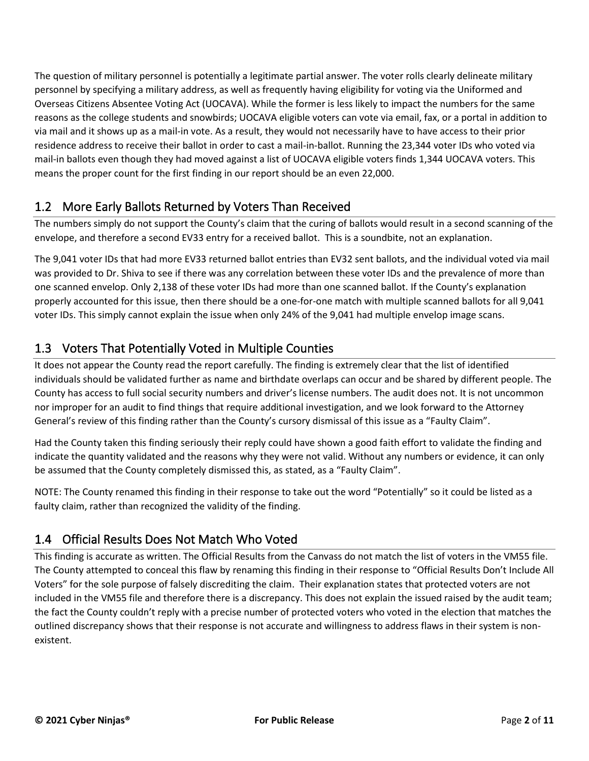The question of military personnel is potentially a legitimate partial answer. The voter rolls clearly delineate military personnel by specifying a military address, as well as frequently having eligibility for voting via the Uniformed and Overseas Citizens Absentee Voting Act (UOCAVA). While the former is less likely to impact the numbers for the same reasons as the college students and snowbirds; UOCAVA eligible voters can vote via email, fax, or a portal in addition to via mail and it shows up as a mail-in vote. As a result, they would not necessarily have to have access to their prior residence address to receive their ballot in order to cast a mail-in-ballot. Running the 23,344 voter IDs who voted via mail-in ballots even though they had moved against a list of UOCAVA eligible voters finds 1,344 UOCAVA voters. This means the proper count for the first finding in our report should be an even 22,000.

### 1.2 More Early Ballots Returned by Voters Than Received

The numbers simply do not support the County's claim that the curing of ballots would result in a second scanning of the envelope, and therefore a second EV33 entry for a received ballot. This is a soundbite, not an explanation.

The 9,041 voter IDs that had more EV33 returned ballot entries than EV32 sent ballots, and the individual voted via mail was provided to Dr. Shiva to see if there was any correlation between these voter IDs and the prevalence of more than one scanned envelop. Only 2,138 of these voter IDs had more than one scanned ballot. If the County's explanation properly accounted for this issue, then there should be a one-for-one match with multiple scanned ballots for all 9,041 voter IDs. This simply cannot explain the issue when only 24% of the 9,041 had multiple envelop image scans.

# 1.3 Voters That Potentially Voted in Multiple Counties

It does not appear the County read the report carefully. The finding is extremely clear that the list of identified individuals should be validated further as name and birthdate overlaps can occur and be shared by different people. The County has access to full social security numbers and driver's license numbers. The audit does not. It is not uncommon nor improper for an audit to find things that require additional investigation, and we look forward to the Attorney General's review of this finding rather than the County's cursory dismissal of this issue as a "Faulty Claim".

Had the County taken this finding seriously their reply could have shown a good faith effort to validate the finding and indicate the quantity validated and the reasons why they were not valid. Without any numbers or evidence, it can only be assumed that the County completely dismissed this, as stated, as a "Faulty Claim".

NOTE: The County renamed this finding in their response to take out the word "Potentially" so it could be listed as a faulty claim, rather than recognized the validity of the finding.

# 1.4 Official Results Does Not Match Who Voted

This finding is accurate as written. The Official Results from the Canvass do not match the list of voters in the VM55 file. The County attempted to conceal this flaw by renaming this finding in their response to "Official Results Don't Include All Voters" for the sole purpose of falsely discrediting the claim. Their explanation states that protected voters are not included in the VM55 file and therefore there is a discrepancy. This does not explain the issued raised by the audit team; the fact the County couldn't reply with a precise number of protected voters who voted in the election that matches the outlined discrepancy shows that their response is not accurate and willingness to address flaws in their system is nonexistent.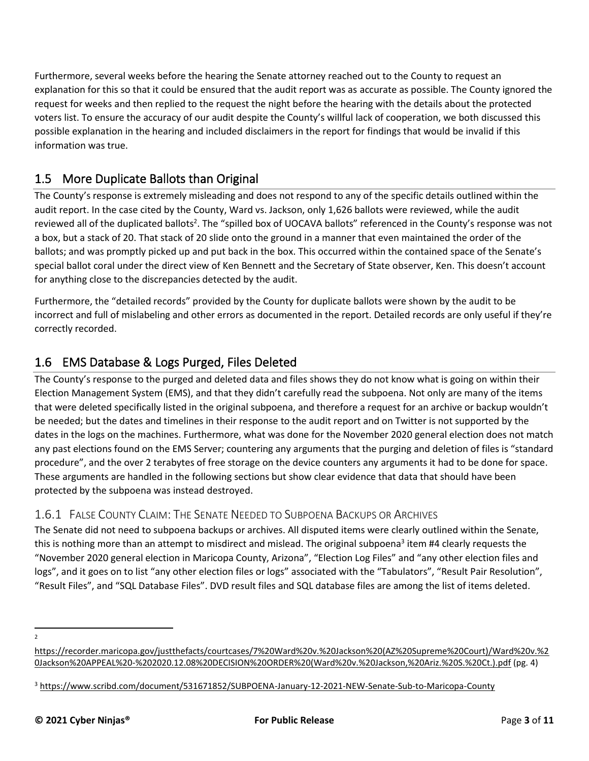Furthermore, several weeks before the hearing the Senate attorney reached out to the County to request an explanation for this so that it could be ensured that the audit report was as accurate as possible. The County ignored the request for weeks and then replied to the request the night before the hearing with the details about the protected voters list. To ensure the accuracy of our audit despite the County's willful lack of cooperation, we both discussed this possible explanation in the hearing and included disclaimers in the report for findings that would be invalid if this information was true.

# 1.5 More Duplicate Ballots than Original

The County's response is extremely misleading and does not respond to any of the specific details outlined within the audit report. In the case cited by the County, Ward vs. Jackson, only 1,626 ballots were reviewed, while the audit reviewed all of the duplicated ballots<sup>2</sup>. The "spilled box of UOCAVA ballots" referenced in the County's response was not a box, but a stack of 20. That stack of 20 slide onto the ground in a manner that even maintained the order of the ballots; and was promptly picked up and put back in the box. This occurred within the contained space of the Senate's special ballot coral under the direct view of Ken Bennett and the Secretary of State observer, Ken. This doesn't account for anything close to the discrepancies detected by the audit.

Furthermore, the "detailed records" provided by the County for duplicate ballots were shown by the audit to be incorrect and full of mislabeling and other errors as documented in the report. Detailed records are only useful if they're correctly recorded.

## 1.6 EMS Database & Logs Purged, Files Deleted

The County's response to the purged and deleted data and files shows they do not know what is going on within their Election Management System (EMS), and that they didn't carefully read the subpoena. Not only are many of the items that were deleted specifically listed in the original subpoena, and therefore a request for an archive or backup wouldn't be needed; but the dates and timelines in their response to the audit report and on Twitter is not supported by the dates in the logs on the machines. Furthermore, what was done for the November 2020 general election does not match any past elections found on the EMS Server; countering any arguments that the purging and deletion of files is "standard procedure", and the over 2 terabytes of free storage on the device counters any arguments it had to be done for space. These arguments are handled in the following sections but show clear evidence that data that should have been protected by the subpoena was instead destroyed.

### 1.6.1 FALSE COUNTY CLAIM: THE SENATE NEEDED TO SUBPOENA BACKUPS OR ARCHIVES

The Senate did not need to subpoena backups or archives. All disputed items were clearly outlined within the Senate, this is nothing more than an attempt to misdirect and mislead. The original subpoena<sup>3</sup> item #4 clearly requests the "November 2020 general election in Maricopa County, Arizona", "Election Log Files" and "any other election files and logs", and it goes on to list "any other election files or logs" associated with the "Tabulators", "Result Pair Resolution", "Result Files", and "SQL Database Files". DVD result files and SQL database files are among the list of items deleted.

 $\overline{2}$ 

[https://recorder.maricopa.gov/justthefacts/courtcases/7%20Ward%20v.%20Jackson%20\(AZ%20Supreme%20Court\)/Ward%20v.%2](https://recorder.maricopa.gov/justthefacts/courtcases/7%20Ward%20v.%20Jackson%20(AZ%20Supreme%20Court)/Ward%20v.%20Jackson%20APPEAL%20-%202020.12.08%20DECISION%20ORDER%20(Ward%20v.%20Jackson,%20Ariz.%20S.%20Ct.).pdf) [0Jackson%20APPEAL%20-%202020.12.08%20DECISION%20ORDER%20\(Ward%20v.%20Jackson,%20Ariz.%20S.%20Ct.\).pdf](https://recorder.maricopa.gov/justthefacts/courtcases/7%20Ward%20v.%20Jackson%20(AZ%20Supreme%20Court)/Ward%20v.%20Jackson%20APPEAL%20-%202020.12.08%20DECISION%20ORDER%20(Ward%20v.%20Jackson,%20Ariz.%20S.%20Ct.).pdf) (pg. 4)

<sup>3</sup> <https://www.scribd.com/document/531671852/SUBPOENA-January-12-2021-NEW-Senate-Sub-to-Maricopa-County>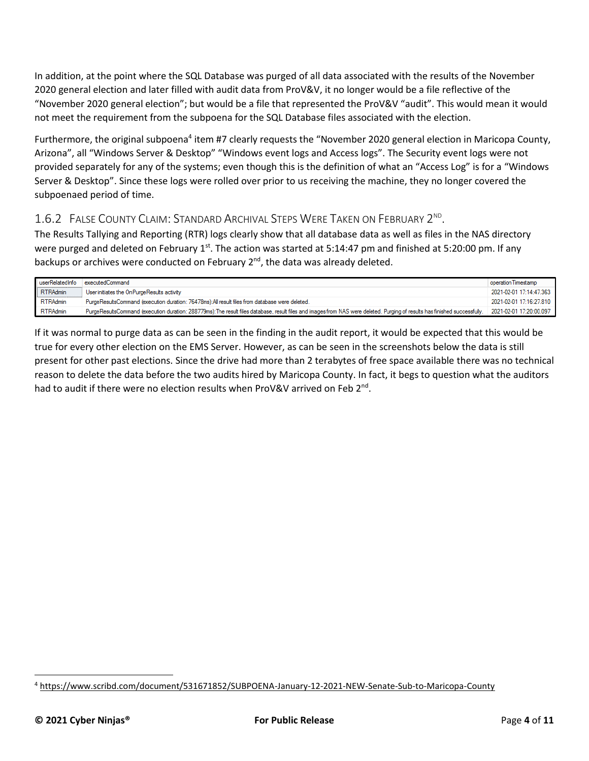In addition, at the point where the SQL Database was purged of all data associated with the results of the November 2020 general election and later filled with audit data from ProV&V, it no longer would be a file reflective of the "November 2020 general election"; but would be a file that represented the ProV&V "audit". This would mean it would not meet the requirement from the subpoena for the SQL Database files associated with the election.

Furthermore, the original subpoena<sup>4</sup> item #7 clearly requests the "November 2020 general election in Maricopa County, Arizona", all "Windows Server & Desktop" "Windows event logs and Access logs". The Security event logs were not provided separately for any of the systems; even though this is the definition of what an "Access Log" is for a "Windows Server & Desktop". Since these logs were rolled over prior to us receiving the machine, they no longer covered the subpoenaed period of time.

### 1.6.2 FALSE COUNTY CLAIM: STANDARD ARCHIVAL STEPS WERE TAKEN ON FEBRUARY 2<sup>ND</sup>.

The Results Tallying and Reporting (RTR) logs clearly show that all database data as well as files in the NAS directory were purged and deleted on February 1<sup>st</sup>. The action was started at 5:14:47 pm and finished at 5:20:00 pm. If any backups or archives were conducted on February  $2^{nd}$ , the data was already deleted.

| userRelatedInfo | executedCommand                                                                                                                                                            | operation Timestamp     |
|-----------------|----------------------------------------------------------------------------------------------------------------------------------------------------------------------------|-------------------------|
| <b>RTRAdmin</b> | User initiates the OnPurgeResults activity                                                                                                                                 | 2021-02-01 17:14:47.363 |
| <b>RTRAdmin</b> | PurgeResultsCommand (execution duration: 76478ms):All result files from database were deleted.                                                                             | 2021-02-01 17:16:27 810 |
| <b>RTRAdmin</b> | PurgeResultsCommand (execution duration: 288779ms):The result files database, result files and images from NAS were deleted. Purging of results has finished successfully. | 2021-02-01 17:20:00.097 |

If it was normal to purge data as can be seen in the finding in the audit report, it would be expected that this would be true for every other election on the EMS Server. However, as can be seen in the screenshots below the data is still present for other past elections. Since the drive had more than 2 terabytes of free space available there was no technical reason to delete the data before the two audits hired by Maricopa County. In fact, it begs to question what the auditors had to audit if there were no election results when ProV&V arrived on Feb 2<sup>nd</sup>.

<sup>4</sup> <https://www.scribd.com/document/531671852/SUBPOENA-January-12-2021-NEW-Senate-Sub-to-Maricopa-County>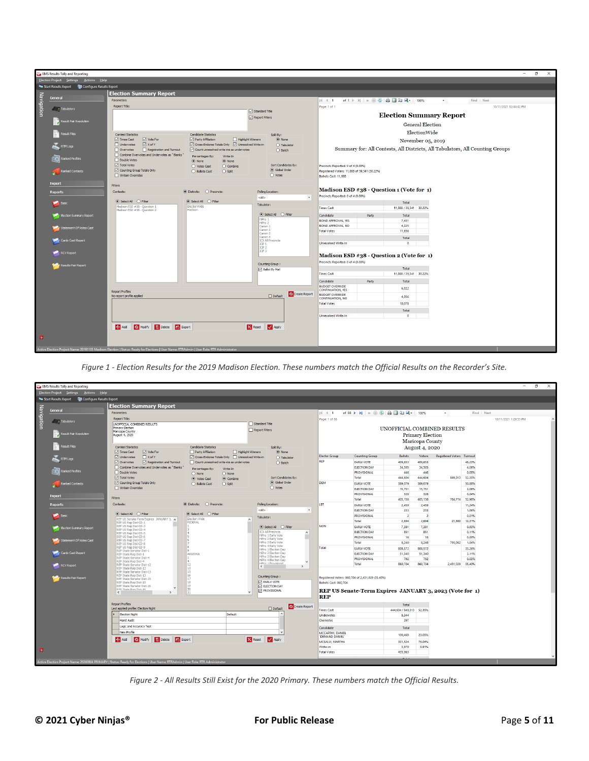|            | <b>EMS Results Tally and Reporting</b>      |                                                                                                                                            |                                                                               |                                                    |                                                    |                                                                                                                                                      | $\overline{\phantom{a}}$                                                      | $\Box$<br>$\times$ |
|------------|---------------------------------------------|--------------------------------------------------------------------------------------------------------------------------------------------|-------------------------------------------------------------------------------|----------------------------------------------------|----------------------------------------------------|------------------------------------------------------------------------------------------------------------------------------------------------------|-------------------------------------------------------------------------------|--------------------|
|            | Election Project Settings Actions Help      |                                                                                                                                            |                                                                               |                                                    |                                                    |                                                                                                                                                      |                                                                               |                    |
|            | <b>Export</b> Gill Configure Results Export |                                                                                                                                            |                                                                               |                                                    |                                                    |                                                                                                                                                      |                                                                               |                    |
|            |                                             | <b>Election Summary Report</b>                                                                                                             |                                                                               |                                                    |                                                    |                                                                                                                                                      |                                                                               |                    |
| Navigation | General                                     | Parameters                                                                                                                                 |                                                                               |                                                    | $\mathbb{N}$ 4 1                                   | of $1$ $\triangleright$ $\triangleright$ $\mid$ $\Leftarrow$ $\otimes$ $\circledcirc$ $\Rightarrow$ $\Box$ $\Box$ $\Box$ $\Box$ $\Box$ $\vdash$ 100% | Find   Next<br>$\bullet$                                                      |                    |
|            |                                             | Report Title:                                                                                                                              |                                                                               |                                                    | Page: 1 of                                         |                                                                                                                                                      | 10/11/2021 12:44:42 PM                                                        |                    |
|            | <b>Tabulators</b>                           |                                                                                                                                            |                                                                               | Standard Title                                     |                                                    |                                                                                                                                                      |                                                                               |                    |
|            |                                             |                                                                                                                                            |                                                                               | Report Filters                                     |                                                    | <b>Election Summary Report</b>                                                                                                                       |                                                                               |                    |
|            | Result Pair Resolution                      |                                                                                                                                            |                                                                               |                                                    |                                                    | <b>General Election</b>                                                                                                                              |                                                                               |                    |
|            | Result Files                                |                                                                                                                                            |                                                                               |                                                    |                                                    |                                                                                                                                                      | ElectionWide                                                                  |                    |
|            |                                             | <b>Contest Statistics</b><br>□ Vote For<br>Times Cast                                                                                      | <b>Candidate Statistics</b><br><b>□</b> Party Affliation<br>Highlight Winners | Split By:<br>(a) None                              |                                                    | November 05, 2019                                                                                                                                    |                                                                               |                    |
|            | RTM Logs                                    | $\boxtimes$ X of Y<br><b>Undervotes</b>                                                                                                    | Cross-Endorse Totals Only   Unresolved Write-in                               | ◯ Tabulator                                        |                                                    |                                                                                                                                                      |                                                                               |                    |
|            |                                             | $\Box$ Overvotes<br>Registration and Turnout                                                                                               | $\boxed{\smile}$ Count unresolved write-ins as undervotes                     | $\bigcirc$ Batch                                   |                                                    |                                                                                                                                                      | Summary for: All Contests, All Districts, All Tabulators, All Counting Groups |                    |
|            | anked Profiles                              | Combine Overvotes and Undervotes as "Blanks"<br>Double Votes                                                                               | Write-In<br>Percentages By:                                                   |                                                    |                                                    |                                                                                                                                                      |                                                                               |                    |
|            |                                             | Total Votes                                                                                                                                | $\odot$ None<br>◉ None<br>$\bigcirc$ Combine<br>◯ Votes Cast                  | Sort Candidates By:                                | Precincts Reported: 0 of 4 (0.00%)                 |                                                                                                                                                      |                                                                               |                    |
|            | <b>Ranked Contests</b>                      | Counting Group Totals Only                                                                                                                 | $\bigcap$ Split<br>◯ Ballots Cast                                             | C Global Order                                     | Registered Voters: 11,888 of 39,341 (30.22%)       |                                                                                                                                                      |                                                                               |                    |
|            |                                             | Writein Overrides                                                                                                                          |                                                                               | $\bigcirc$ Votes                                   | Ballots Cast: 11,888                               |                                                                                                                                                      |                                                                               |                    |
|            | Export                                      | <b>Filters</b>                                                                                                                             |                                                                               |                                                    |                                                    |                                                                                                                                                      |                                                                               |                    |
|            | Reports                                     | Contests:                                                                                                                                  | ● Districts: ● Precincts:                                                     | Poling Location:                                   | Madison ESD #38 - Question 1 (Vote for 1)          |                                                                                                                                                      |                                                                               |                    |
|            |                                             |                                                                                                                                            |                                                                               | $\mathbf{v}$<br><al></al>                          | Precincts Reported: 0 of 4 (0.00%)                 |                                                                                                                                                      |                                                                               |                    |
|            | <b>Basic</b>                                |                                                                                                                                            |                                                                               | Tabulator:                                         |                                                    | Total                                                                                                                                                |                                                                               |                    |
|            |                                             | Madison ESD #38 - Question 1<br>Madison ESD #38 - Question 2                                                                               | ElectionWide<br>Madison                                                       |                                                    | <b>Times Cast</b>                                  | 11,888 / 39,341 30.22%                                                                                                                               |                                                                               |                    |
|            | Election Summary Report                     |                                                                                                                                            |                                                                               | <b>●</b> Select Al ● Filter                        | Candidate                                          | Party<br>Total                                                                                                                                       |                                                                               |                    |
|            |                                             |                                                                                                                                            |                                                                               | HPro 1<br>HPro 2                                   | <b>BOND APPROVAL, YES</b>                          | 7,431                                                                                                                                                |                                                                               |                    |
|            | Statement Of Votes Cast                     |                                                                                                                                            |                                                                               | Canon 1<br>Canon 2                                 | <b>BOND APPROVAL NO</b><br><b>Total Votes</b>      | 4,225<br>11,656                                                                                                                                      |                                                                               |                    |
|            |                                             |                                                                                                                                            |                                                                               | Canon 3<br>Canon 4                                 |                                                    | Total                                                                                                                                                |                                                                               |                    |
|            | Cards Cast Report                           |                                                                                                                                            |                                                                               | <b>ICX All Precincts</b><br>ICP <sub>1</sub>       | <b>Unresolved Write-In</b>                         | $\bullet$                                                                                                                                            |                                                                               |                    |
|            |                                             |                                                                                                                                            |                                                                               | $\left  \frac{\text{ICP 2}}{\text{ICP 3}} \right $ |                                                    |                                                                                                                                                      |                                                                               |                    |
|            | RCV Report                                  |                                                                                                                                            |                                                                               |                                                    | Madison ESD #38 - Question 2 (Vote for 1)          |                                                                                                                                                      |                                                                               |                    |
|            |                                             |                                                                                                                                            |                                                                               |                                                    | Precincts Reported: 0 of 4 (0.00%)                 |                                                                                                                                                      |                                                                               |                    |
|            | Results Pair Report                         |                                                                                                                                            |                                                                               | Counting Group:<br><b>D</b> Ballot By Mail         |                                                    | Total                                                                                                                                                |                                                                               |                    |
|            |                                             |                                                                                                                                            |                                                                               |                                                    | <b>Times Cast</b>                                  | 11,888 / 39,341 30.22%                                                                                                                               |                                                                               |                    |
|            |                                             |                                                                                                                                            |                                                                               |                                                    | Candidate                                          | Party<br>Total                                                                                                                                       |                                                                               |                    |
|            |                                             |                                                                                                                                            |                                                                               |                                                    | <b>BUDGET OVERRIDE</b><br><b>CONTINUATION, YES</b> | 6,022                                                                                                                                                |                                                                               |                    |
|            |                                             | <b>Report Profiles</b><br>No report profile applied                                                                                        |                                                                               | Create Report<br>$\Box$ Default                    | <b>BUDGET OVERRIDE</b>                             | 4,056                                                                                                                                                |                                                                               |                    |
|            |                                             |                                                                                                                                            |                                                                               |                                                    | CONTINUATION, NO<br><b>Total Votes</b>             |                                                                                                                                                      |                                                                               |                    |
|            |                                             |                                                                                                                                            |                                                                               |                                                    |                                                    | 10,078                                                                                                                                               |                                                                               |                    |
|            |                                             |                                                                                                                                            |                                                                               |                                                    | <b>Unresolved Write-In</b>                         | Total<br>$\bullet$                                                                                                                                   |                                                                               |                    |
|            |                                             |                                                                                                                                            |                                                                               |                                                    |                                                    |                                                                                                                                                      |                                                                               |                    |
|            |                                             | Modify <b>Delete D</b> Export<br><b>Add</b>                                                                                                |                                                                               | V Apply<br><b>X</b> Reset                          |                                                    |                                                                                                                                                      |                                                                               |                    |
|            |                                             |                                                                                                                                            |                                                                               |                                                    |                                                    |                                                                                                                                                      |                                                                               |                    |
| ø.         |                                             |                                                                                                                                            |                                                                               |                                                    |                                                    |                                                                                                                                                      |                                                                               |                    |
|            |                                             |                                                                                                                                            |                                                                               |                                                    |                                                    |                                                                                                                                                      |                                                                               |                    |
|            |                                             | Active Election Project Name: 20191105 Madison Election   Status: Ready for Elections   User Name: RTRAdmin   User Role: RTR Administrator |                                                                               |                                                    |                                                    |                                                                                                                                                      |                                                                               |                    |

*Figure 1 - Election Results for the 2019 Madison Election. These numbers match the Official Results on the Recorder's Site.*

|            | <b>EMS Results Tally and Reporting</b>             |                                                                                                                                   |                                                 |                                                                  |                                 |                                                         |                          |                         |                             |                 | $\sim$                | $\sigma$<br>$\times$ |
|------------|----------------------------------------------------|-----------------------------------------------------------------------------------------------------------------------------------|-------------------------------------------------|------------------------------------------------------------------|---------------------------------|---------------------------------------------------------|--------------------------|-------------------------|-----------------------------|-----------------|-----------------------|----------------------|
|            | Election Project Settings Actions Help             |                                                                                                                                   |                                                 |                                                                  |                                 |                                                         |                          |                         |                             |                 |                       |                      |
|            | Start Results Export [77] Configure Results Export |                                                                                                                                   |                                                 |                                                                  |                                 |                                                         |                          |                         |                             |                 |                       |                      |
| Navigation |                                                    | <b>Election Summary Report</b>                                                                                                    |                                                 |                                                                  |                                 |                                                         |                          |                         |                             |                 |                       |                      |
|            | General                                            | Parameters                                                                                                                        |                                                 |                                                                  | $\vert A \vert \vert A \vert$ 1 | of 88 ▶ N   ← ⑧ ⑤   曲 圓 山 m +   100%                    |                          |                         | $\star$                     | Find   Next     |                       |                      |
|            |                                                    | Report Title:                                                                                                                     |                                                 |                                                                  | Page: 1 of 88                   |                                                         |                          |                         |                             |                 | 10/11/2021 1:29:33 PM |                      |
|            | <b>Tabulators</b>                                  | <b>UNOFFICIAL COMBINED RESULTS</b>                                                                                                |                                                 | Standard Title                                                   |                                 |                                                         |                          |                         |                             |                 |                       |                      |
|            |                                                    | Primary Election<br>Maricopa County                                                                                               |                                                 | Report Filters                                                   |                                 |                                                         |                          |                         | UNOFFICIAL COMBINED RESULTS |                 |                       |                      |
|            | <b>Result Pair Resolution</b>                      | August 4, 2020                                                                                                                    |                                                 |                                                                  |                                 |                                                         |                          | <b>Primary Election</b> |                             |                 |                       |                      |
|            |                                                    |                                                                                                                                   |                                                 |                                                                  |                                 |                                                         |                          | <b>Maricopa County</b>  |                             |                 |                       |                      |
|            | <b>Result Files</b>                                | <b>Contest Statistics</b>                                                                                                         | <b>Candidate Statistics</b>                     | Solit By:                                                        |                                 |                                                         |                          | <b>August 4, 2020</b>   |                             |                 |                       |                      |
|            |                                                    | □ Times Cast<br>□ Vote For                                                                                                        | Party Affiliation<br>Highlight Winners          | O None                                                           | <b>Elector Group</b>            |                                                         | <b>Ballots</b>           | Voters                  |                             |                 |                       |                      |
|            | <b>RTM Logs</b>                                    | $\Box$ X of Y<br>□ Undervotes                                                                                                     | Cross-Endorse Totals Only   Unresolved Write-in | ◯ Tabulator                                                      | <b>REP</b>                      | <b>Counting Group</b>                                   |                          |                         | Registered Voters Turnout   |                 |                       |                      |
|            |                                                    | Overvotes<br>Registration and Turnout<br>Combine Overvotes and Undervotes as "Blanks"                                             | Count unresolved write-ins as undervotes        | $\bigcap$ Batch                                                  |                                 | <b>EARLY VOTE</b><br><b>ELECTION DAY</b>                | 409,653<br>34,505        | 409,653<br>34,505       |                             | 48.23%<br>4.06% |                       |                      |
|            | anked Profiles                                     | Double Votes                                                                                                                      | Percentages By:<br>Write-In                     |                                                                  |                                 | <b>PROVISIONAL</b>                                      | 446                      | 446                     |                             | 0.05%           |                       |                      |
|            |                                                    | <b>□ Total Votes</b>                                                                                                              | O None<br>$\bigcirc$ None<br>Combine            | Sort Candidates By:                                              |                                 | Total                                                   | 444,604                  | 444,604                 | 849.313 52.35%              |                 |                       |                      |
|            | <b>Ranked Contests</b>                             | Counting Group Totals Only                                                                                                        | O Votes Cast<br>◯ Split<br>◯ Ballots Cast       | C Global Order                                                   | <b>DEM</b>                      | <b>EARLY VOTE</b>                                       | 389,079                  | 389,079                 |                             | 50.88%          |                       |                      |
|            |                                                    | Writein Overrides                                                                                                                 |                                                 | $\bigcap$ Votes                                                  |                                 | <b>ELECTION DAY</b>                                     | 15,751                   | 15,751                  |                             | 2.06%           |                       |                      |
|            |                                                    |                                                                                                                                   |                                                 |                                                                  |                                 | <b>PROVISIONAL</b>                                      | 328                      | 328                     |                             | 0.04%           |                       |                      |
|            | Export                                             | Filters                                                                                                                           |                                                 |                                                                  |                                 | <b>Total</b>                                            | 405,158                  | 405,158                 | 764,774                     | 52.98%          |                       |                      |
|            | <b>Reports</b>                                     | Contests:                                                                                                                         | ● Districts: ● Precincts:                       | Poling Location:                                                 | LBT                             | <b>EARLY VOTE</b>                                       | 2,459                    | 2,459                   |                             | 11.24%          |                       |                      |
|            |                                                    |                                                                                                                                   |                                                 | <al><br/><math>\ddot{}</math></al>                               |                                 | <b>ELECTION DAY</b>                                     | 233                      | 233                     |                             | 1.06%           |                       |                      |
|            | <b>Basic</b>                                       | ◉ Select Al ● Filter                                                                                                              | Election Wide                                   | Tabulator:                                                       |                                 | <b>PROVISIONAL</b>                                      | $\overline{2}$           | $\overline{2}$          |                             | 0.01%           |                       |                      |
|            |                                                    | REP US Senate-Term Expires JANUARY 3, A<br>REP US Rep Dist CD-1                                                                   | <b>FEDERAL</b>                                  |                                                                  |                                 | Total                                                   | 2,694                    | 2,694                   | 21,880                      | 12.31%          |                       |                      |
|            | Election Summary Report                            | REP US Rep Dist CD-3<br>REP US Rep Dist CD-4                                                                                      |                                                 |                                                                  | <b>NON</b>                      | <b>EARLY VOTE</b>                                       | 7,381                    | 7,381                   |                             | 0.93%           |                       |                      |
|            |                                                    | REP US Rep Dist CD-5                                                                                                              |                                                 | <b>ICX All Precincts</b><br>$\wedge$<br><b>HPro 1 Early Vote</b> |                                 | <b>ELECTION DAY</b>                                     | 851                      | 851                     |                             | 0.11%           |                       |                      |
|            | Statement Of Votes Cast                            | REP US Rep Dist CD-6<br>REP US Rep Dist CD-7                                                                                      |                                                 | <b>HPro 2 Early Vote</b>                                         |                                 | <b>PROVISIONAL</b>                                      | 16                       | 16                      |                             | 0.00%           |                       |                      |
|            |                                                    | REP US Rep Dist CD-8<br>REP US Rep Dist CD-9                                                                                      |                                                 | HPro 3 Early Vote<br><b>HPro 4 Early Vote</b>                    |                                 | Total                                                   | 8,248                    | 8,248                   | 795,062                     | 1.04%           |                       |                      |
|            | Cards Cast Report                                  | REP State Senator Dist-1                                                                                                          |                                                 | HPro 1 Election Day<br>HPro 2 Election Day                       | Total                           | <b>EARLY VOTE</b>                                       | 808.572                  | 808,572                 |                             | 33.26%          |                       |                      |
|            |                                                    | REP State Rep Dist-1<br><b>REP State Senator Dist-4</b>                                                                           | <b>ARIZONA</b>                                  | HPro 3 Election Day                                              |                                 | <b>ELECTION DAY</b><br><b>PROVISIONAL</b>               | 51,340<br>792            | 51,340<br>792           |                             | 2.11%<br>0.03%  |                       |                      |
|            |                                                    | REP State Rep Dist-4                                                                                                              |                                                 | HPro 4 Election Day<br><b>HPrn 1 Provisional</b>                 |                                 | Total                                                   | 860,704                  | 860,704                 | 2,431,029 35.40%            |                 |                       |                      |
|            | RCV Report                                         | REP State Senator Dist-12<br>REP State Rep Dist-12                                                                                | 13                                              | $\left\langle \right\rangle$<br>$\,$                             |                                 |                                                         |                          |                         |                             |                 |                       |                      |
|            |                                                    | <b>REP State Senator Dist-13</b><br>REP State Rep Dist-13                                                                         | 15<br>16                                        |                                                                  |                                 |                                                         |                          |                         |                             |                 |                       |                      |
|            | Results Pair Report                                | REP State Senator Dist-15                                                                                                         | 17<br>18                                        | Counting Group:<br><b>EARLY VOTE</b>                             |                                 | Registered Voters: 860,704 of 2,431,029 (35.40%)        |                          |                         |                             |                 |                       |                      |
|            |                                                    | REP State Rep Dist-15<br><b>REP State Senator Dist-16</b>                                                                         | 19                                              | <b>ELECTION DAY</b>                                              | Ballots Cast: 860,704           |                                                         |                          |                         |                             |                 |                       |                      |
|            |                                                    | RFP State Ren Dist-16<br>$\rightarrow$                                                                                            | 20<br>21                                        | <b>PROVISIONAL</b>                                               |                                 | REP US Senate-Term Expires JANUARY 3, 2023 (Vote for 1) |                          |                         |                             |                 |                       |                      |
|            |                                                    |                                                                                                                                   |                                                 |                                                                  | <b>REP</b>                      |                                                         |                          |                         |                             |                 |                       |                      |
|            |                                                    | <b>Report Profiles</b>                                                                                                            |                                                 |                                                                  |                                 |                                                         | Total                    |                         |                             |                 |                       |                      |
|            |                                                    | Last applied profile: Election Night                                                                                              |                                                 | Create Report<br>$\Box$ Default                                  | <b>Times Cast</b>               |                                                         | 444,604 / 849,313 52.35% |                         |                             |                 |                       |                      |
|            |                                                    | <b>Election Night</b>                                                                                                             | Default                                         |                                                                  | Undervotes                      |                                                         | 8.344                    |                         |                             |                 |                       |                      |
|            |                                                    | Hand Audit                                                                                                                        |                                                 |                                                                  | Overvotes                       |                                                         | 297                      |                         |                             |                 |                       |                      |
|            |                                                    | Logic and Accuracy Test                                                                                                           |                                                 |                                                                  | Candidate                       |                                                         | Total                    |                         |                             |                 |                       |                      |
|            |                                                    | New Profile                                                                                                                       |                                                 |                                                                  | MCCARTHY, DANIEL                |                                                         |                          | 23.05%                  |                             |                 |                       |                      |
|            |                                                    | Modify <b>Delete (b)</b> Export<br><b>Add</b>                                                                                     |                                                 | M Apply<br><b>X</b> Reset                                        | "DEMAND DANIEL"                 |                                                         | 100,469                  |                         |                             |                 |                       |                      |
|            |                                                    |                                                                                                                                   |                                                 |                                                                  | MCSALLY, MARTHA                 |                                                         | 331,524                  | 76.04%                  |                             |                 |                       |                      |
| <b>B</b>   |                                                    |                                                                                                                                   |                                                 |                                                                  | Write-in<br><b>Total Votes</b>  |                                                         | 3,970<br>435,963         | 0.91%                   |                             |                 |                       |                      |
|            |                                                    |                                                                                                                                   |                                                 |                                                                  |                                 |                                                         |                          |                         |                             |                 |                       |                      |
|            |                                                    | Active Election Project Name: 20200804 PRIMARY   Status: Ready for Elections   User Name: RTRAdmin   User Role: RTR Administrator |                                                 |                                                                  |                                 |                                                         |                          |                         |                             |                 |                       |                      |

*Figure 2 - All Results Still Exist for the 2020 Primary. These numbers match the Official Results.*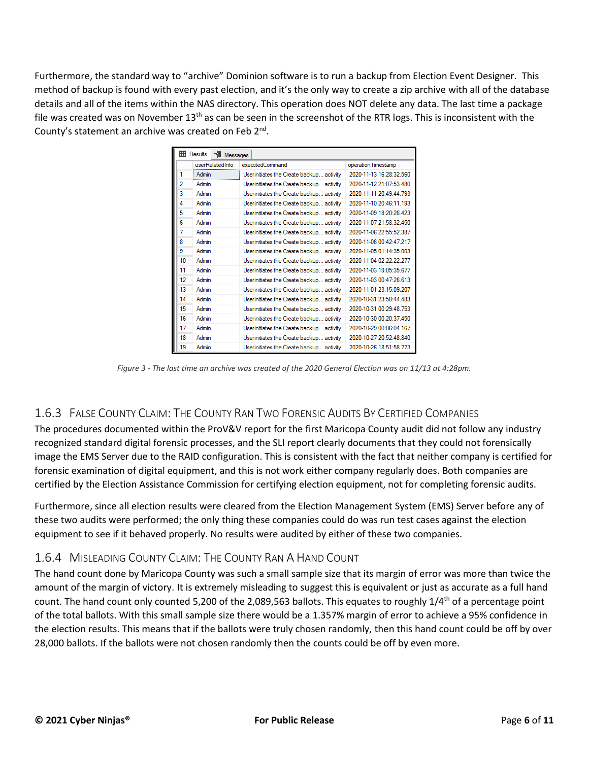Furthermore, the standard way to "archive" Dominion software is to run a backup from Election Event Designer. This method of backup is found with every past election, and it's the only way to create a zip archive with all of the database details and all of the items within the NAS directory. This operation does NOT delete any data. The last time a package file was created was on November  $13<sup>th</sup>$  as can be seen in the screenshot of the RTR logs. This is inconsistent with the County's statement an archive was created on Feb 2<sup>nd</sup>.

| <b>EE Results</b><br><b>Bill</b> Messages |                 |                                           |                         |  |  |  |  |  |  |  |
|-------------------------------------------|-----------------|-------------------------------------------|-------------------------|--|--|--|--|--|--|--|
|                                           | userRelatedInfo | executedCommand                           | operation Timestamp     |  |  |  |  |  |  |  |
| 1                                         | Admin           | User initiates the Create backup activity | 2020-11-13 16:28:32.560 |  |  |  |  |  |  |  |
| $\overline{a}$                            | Admin           | User initiates the Create backup activity | 2020-11-12 21:07:53 480 |  |  |  |  |  |  |  |
| 3                                         | Admin           | User initiates the Create backup activity | 2020-11-11 20:49:44 793 |  |  |  |  |  |  |  |
| 4                                         | Admin           | User initiates the Create backup activity | 2020-11-10 20:46:11 193 |  |  |  |  |  |  |  |
| 5                                         | Admin           | User initiates the Create backup activity | 2020-11-09 18:20:26 423 |  |  |  |  |  |  |  |
| 6                                         | Admin           | User initiates the Create backup activity | 2020-11-07 21:58:32.450 |  |  |  |  |  |  |  |
| 7                                         | Admin           | User initiates the Create backup activity | 2020-11-06 22:55:52 387 |  |  |  |  |  |  |  |
| 8                                         | Admin           | User initiates the Create backup activity | 2020-11-06 00:42:47 217 |  |  |  |  |  |  |  |
| 9                                         | Admin           | User initiates the Create backup activity | 2020-11-05 01:14:35 003 |  |  |  |  |  |  |  |
| 10                                        | Admin           | User initiates the Create backup activity | 2020-11-04 02:22:22 277 |  |  |  |  |  |  |  |
| 11                                        | Admin           | User initiates the Create backup activity | 2020-11-03 19:05:35 677 |  |  |  |  |  |  |  |
| 12                                        | Admin           | User initiates the Create backup activity | 2020-11-03 00:47:26 613 |  |  |  |  |  |  |  |
| 13                                        | Admin           | User initiates the Create backup activity | 2020-11-01 23:15:09 207 |  |  |  |  |  |  |  |
| 14                                        | Admin           | User initiates the Create backup activity | 2020-10-31 23:58:44 483 |  |  |  |  |  |  |  |
| 15                                        | Admin           | User initiates the Create backup activity | 2020-10-31 00:29:48.753 |  |  |  |  |  |  |  |
| 16                                        | Admin           | User initiates the Create backup activity | 2020-10-30 00:20:37 450 |  |  |  |  |  |  |  |
| 17                                        | Admin           | User initiates the Create backup activity | 2020-10-29 00:06:04 167 |  |  |  |  |  |  |  |
| 18                                        | Admin           | User initiates the Create backup activity | 2020-10-27 20:52:48.840 |  |  |  |  |  |  |  |
| 19                                        | Admin           | User initiates the Create backup activity | 2020-10-26 18:51:58 773 |  |  |  |  |  |  |  |

*Figure 3 - The last time an archive was created of the 2020 General Election was on 11/13 at 4:28pm.*

#### 1.6.3 FALSE COUNTY CLAIM: THE COUNTY RAN TWO FORENSIC AUDITS BY CERTIFIED COMPANIES

The procedures documented within the ProV&V report for the first Maricopa County audit did not follow any industry recognized standard digital forensic processes, and the SLI report clearly documents that they could not forensically image the EMS Server due to the RAID configuration. This is consistent with the fact that neither company is certified for forensic examination of digital equipment, and this is not work either company regularly does. Both companies are certified by the Election Assistance Commission for certifying election equipment, not for completing forensic audits.

Furthermore, since all election results were cleared from the Election Management System (EMS) Server before any of these two audits were performed; the only thing these companies could do was run test cases against the election equipment to see if it behaved properly. No results were audited by either of these two companies.

#### 1.6.4 MISLEADING COUNTY CLAIM: THE COUNTY RAN A HAND COUNT

The hand count done by Maricopa County was such a small sample size that its margin of error was more than twice the amount of the margin of victory. It is extremely misleading to suggest this is equivalent or just as accurate as a full hand count. The hand count only counted 5,200 of the 2,089,563 ballots. This equates to roughly  $1/4<sup>th</sup>$  of a percentage point of the total ballots. With this small sample size there would be a 1.357% margin of error to achieve a 95% confidence in the election results. This means that if the ballots were truly chosen randomly, then this hand count could be off by over 28,000 ballots. If the ballots were not chosen randomly then the counts could be off by even more.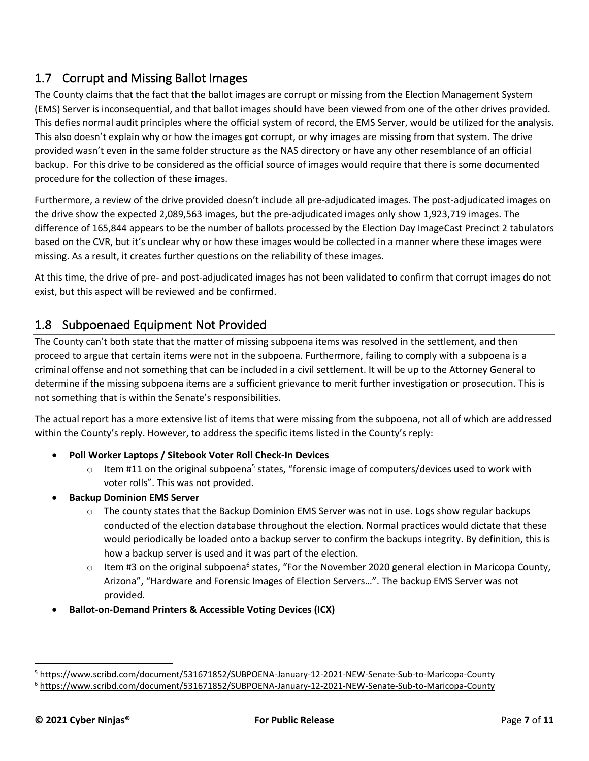# 1.7 Corrupt and Missing Ballot Images

The County claims that the fact that the ballot images are corrupt or missing from the Election Management System (EMS) Server is inconsequential, and that ballot images should have been viewed from one of the other drives provided. This defies normal audit principles where the official system of record, the EMS Server, would be utilized for the analysis. This also doesn't explain why or how the images got corrupt, or why images are missing from that system. The drive provided wasn't even in the same folder structure as the NAS directory or have any other resemblance of an official backup. For this drive to be considered as the official source of images would require that there is some documented procedure for the collection of these images.

Furthermore, a review of the drive provided doesn't include all pre-adjudicated images. The post-adjudicated images on the drive show the expected 2,089,563 images, but the pre-adjudicated images only show 1,923,719 images. The difference of 165,844 appears to be the number of ballots processed by the Election Day ImageCast Precinct 2 tabulators based on the CVR, but it's unclear why or how these images would be collected in a manner where these images were missing. As a result, it creates further questions on the reliability of these images.

At this time, the drive of pre- and post-adjudicated images has not been validated to confirm that corrupt images do not exist, but this aspect will be reviewed and be confirmed.

# 1.8 Subpoenaed Equipment Not Provided

The County can't both state that the matter of missing subpoena items was resolved in the settlement, and then proceed to argue that certain items were not in the subpoena. Furthermore, failing to comply with a subpoena is a criminal offense and not something that can be included in a civil settlement. It will be up to the Attorney General to determine if the missing subpoena items are a sufficient grievance to merit further investigation or prosecution. This is not something that is within the Senate's responsibilities.

The actual report has a more extensive list of items that were missing from the subpoena, not all of which are addressed within the County's reply. However, to address the specific items listed in the County's reply:

- **Poll Worker Laptops / Sitebook Voter Roll Check-In Devices**
	- $\circ$  Item #11 on the original subpoena<sup>5</sup> states, "forensic image of computers/devices used to work with voter rolls". This was not provided.
- **Backup Dominion EMS Server** 
	- $\circ$  The county states that the Backup Dominion EMS Server was not in use. Logs show regular backups conducted of the election database throughout the election. Normal practices would dictate that these would periodically be loaded onto a backup server to confirm the backups integrity. By definition, this is how a backup server is used and it was part of the election.
	- $\circ$  Item #3 on the original subpoena<sup>6</sup> states, "For the November 2020 general election in Maricopa County, Arizona", "Hardware and Forensic Images of Election Servers…". The backup EMS Server was not provided.
- **Ballot-on-Demand Printers & Accessible Voting Devices (ICX)**

<sup>5</sup> <https://www.scribd.com/document/531671852/SUBPOENA-January-12-2021-NEW-Senate-Sub-to-Maricopa-County>

<sup>6</sup> <https://www.scribd.com/document/531671852/SUBPOENA-January-12-2021-NEW-Senate-Sub-to-Maricopa-County>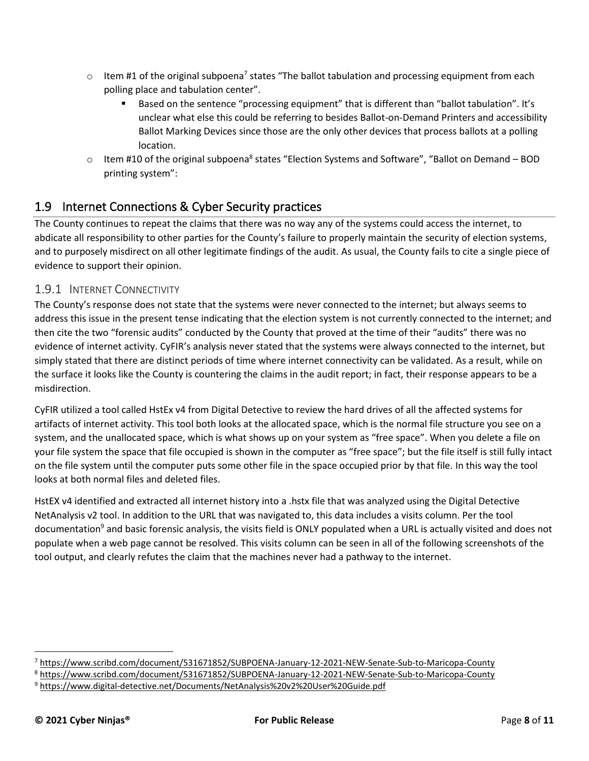- $\circ$  Item #1 of the original subpoena<sup>7</sup> states "The ballot tabulation and processing equipment from each polling place and tabulation center".
	- Based on the sentence "processing equipment" that is different than "ballot tabulation". It's unclear what else this could be referring to besides Ballot-on-Demand Printers and accessibility Ballot Marking Devices since those are the only other devices that process ballots at a polling location.
- $\circ$  Item #10 of the original subpoena<sup>8</sup> states "Election Systems and Software", "Ballot on Demand BOD printing system":

### 1.9 Internet Connections & Cyber Security practices

The County continues to repeat the claims that there was no way any of the systems could access the internet, to abdicate all responsibility to other parties for the County's failure to properly maintain the security of election systems, and to purposely misdirect on all other legitimate findings of the audit. As usual, the County fails to cite a single piece of evidence to support their opinion.

#### 1.9.1 INTERNET CONNECTIVITY

The County's response does not state that the systems were never connected to the internet; but always seems to address this issue in the present tense indicating that the election system is not currently connected to the internet; and then cite the two "forensic audits" conducted by the County that proved at the time of their "audits" there was no evidence of internet activity. CyFIR's analysis never stated that the systems were always connected to the internet, but simply stated that there are distinct periods of time where internet connectivity can be validated. As a result, while on the surface it looks like the County is countering the claims in the audit report; in fact, their response appears to be a misdirection.

CyFIR utilized a tool called HstEx v4 from Digital Detective to review the hard drives of all the affected systems for artifacts of internet activity. This tool both looks at the allocated space, which is the normal file structure you see on a system, and the unallocated space, which is what shows up on your system as "free space". When you delete a file on your file system the space that file occupied is shown in the computer as "free space"; but the file itself is still fully intact on the file system until the computer puts some other file in the space occupied prior by that file. In this way the tool looks at both normal files and deleted files.

HstEX v4 identified and extracted all internet history into a .hstx file that was analyzed using the Digital Detective NetAnalysis v2 tool. In addition to the URL that was navigated to, this data includes a visits column. Per the tool documentation<sup>9</sup> and basic forensic analysis, the visits field is ONLY populated when a URL is actually visited and does not populate when a web page cannot be resolved. This visits column can be seen in all of the following screenshots of the tool output, and clearly refutes the claim that the machines never had a pathway to the internet.

<sup>7</sup> <https://www.scribd.com/document/531671852/SUBPOENA-January-12-2021-NEW-Senate-Sub-to-Maricopa-County>

<sup>8</sup> <https://www.scribd.com/document/531671852/SUBPOENA-January-12-2021-NEW-Senate-Sub-to-Maricopa-County>

<sup>9</sup> <https://www.digital-detective.net/Documents/NetAnalysis%20v2%20User%20Guide.pdf>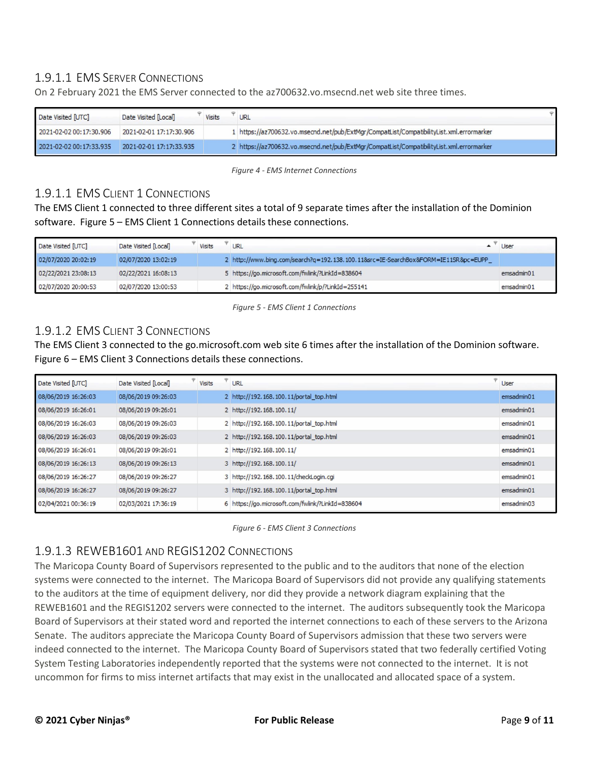### 1.9.1.1 EMS SERVER CONNECTIONS

On 2 February 2021 the EMS Server connected to the az700632.vo.msecnd.net web site three times.

| Date Visited [UTC]      | Date Visited [Local]    | Visits | URL                                                                                      |  |
|-------------------------|-------------------------|--------|------------------------------------------------------------------------------------------|--|
| 2021-02-02 00:17:30.906 | 2021-02-01 17:17:30.906 |        | 1 https://az700632.vo.msecnd.net/pub/ExtMgr/CompatList/CompatibilityList.xml.errormarker |  |
| 2021-02-02 00:17:33.935 | 2021-02-01 17:17:33.935 |        | 2 https://az700632.vo.msecnd.net/pub/ExtMgr/CompatList/CompatibilityList.xml.errormarker |  |

*Figure 4 - EMS Internet Connections*

#### 1.9.1.1 EMS CLIENT 1 CONNECTIONS

The EMS Client 1 connected to three different sites a total of 9 separate times after the installation of the Dominion software. Figure 5 – EMS Client 1 Connections details these connections.

| Date Visited [UTC]  | Date Visited [Local] | Visits | <b>URL</b>                                                                         | User       |
|---------------------|----------------------|--------|------------------------------------------------------------------------------------|------------|
| 02/07/2020 20:02:19 | 02/07/2020 13:02:19  |        | 2 http://www.bing.com/search?q=192.138.100.11&src=IE-SearchBox&FORM=IE11SR&pc=EUPP |            |
| 02/22/2021 23:08:13 | 02/22/2021 16:08:13  |        | 5 https://go.microsoft.com/fwlink/?LinkId=838604                                   | emsadmin01 |
| 02/07/2020 20:00:53 | 02/07/2020 13:00:53  |        | 2 https://go.microsoft.com/fwlink/p/?LinkId=255141                                 | emsadmin01 |

*Figure 5 - EMS Client 1 Connections*

#### 1.9.1.2 EMS CLIENT 3 CONNECTIONS

The EMS Client 3 connected to the go.microsoft.com web site 6 times after the installation of the Dominion software. Figure 6 – EMS Client 3 Connections details these connections.

| Date Visited [UTC]  | Date Visited [Local] | Visits | <b>URL</b>                                       | User       |
|---------------------|----------------------|--------|--------------------------------------------------|------------|
| 08/06/2019 16:26:03 | 08/06/2019 09:26:03  |        | 2 http://192.168.100.11/portal_top.html          | emsadmin01 |
| 08/06/2019 16:26:01 | 08/06/2019 09:26:01  |        | 2 http://192.168.100.11/                         | emsadmin01 |
| 08/06/2019 16:26:03 | 08/06/2019 09:26:03  |        | 2 http://192.168.100.11/portal_top.html          | emsadmin01 |
| 08/06/2019 16:26:03 | 08/06/2019 09:26:03  |        | 2 http://192.168.100.11/portal top.html          | emsadmin01 |
| 08/06/2019 16:26:01 | 08/06/2019 09:26:01  |        | 2 http://192.168.100.11/                         | emsadmin01 |
| 08/06/2019 16:26:13 | 08/06/2019 09:26:13  |        | 3 http://192.168.100.11/                         | emsadmin01 |
| 08/06/2019 16:26:27 | 08/06/2019 09:26:27  |        | 3 http://192.168.100.11/checkLogin.cgi           | emsadmin01 |
| 08/06/2019 16:26:27 | 08/06/2019 09:26:27  |        | 3 http://192.168.100.11/portal_top.html          | emsadmin01 |
| 02/04/2021 00:36:19 | 02/03/2021 17:36:19  |        | 6 https://go.microsoft.com/fwlink/?LinkId=838604 | emsadmin03 |

*Figure 6 - EMS Client 3 Connections*

#### 1.9.1.3 REWEB1601 AND REGIS1202 CONNECTIONS

The Maricopa County Board of Supervisors represented to the public and to the auditors that none of the election systems were connected to the internet. The Maricopa Board of Supervisors did not provide any qualifying statements to the auditors at the time of equipment delivery, nor did they provide a network diagram explaining that the REWEB1601 and the REGIS1202 servers were connected to the internet. The auditors subsequently took the Maricopa Board of Supervisors at their stated word and reported the internet connections to each of these servers to the Arizona Senate. The auditors appreciate the Maricopa County Board of Supervisors admission that these two servers were indeed connected to the internet. The Maricopa County Board of Supervisors stated that two federally certified Voting System Testing Laboratories independently reported that the systems were not connected to the internet. It is not uncommon for firms to miss internet artifacts that may exist in the unallocated and allocated space of a system.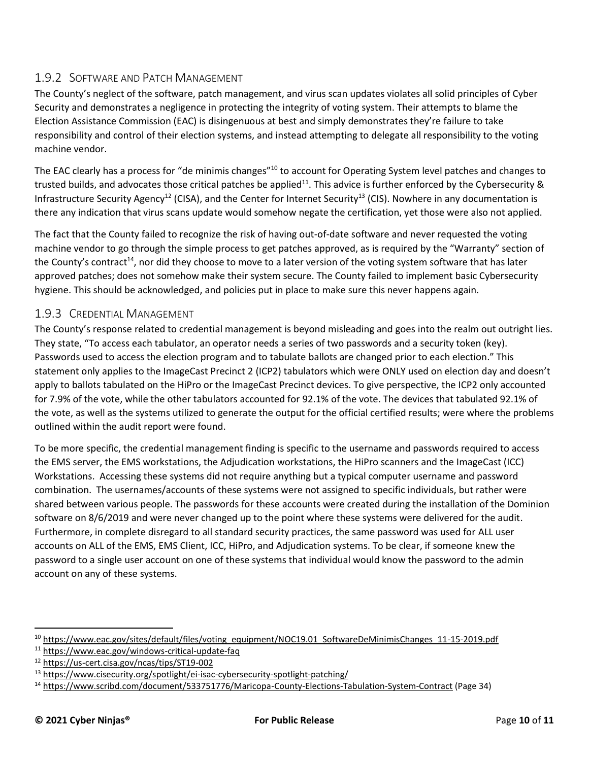### 1.9.2 SOFTWARE AND PATCH MANAGEMENT

The County's neglect of the software, patch management, and virus scan updates violates all solid principles of Cyber Security and demonstrates a negligence in protecting the integrity of voting system. Their attempts to blame the Election Assistance Commission (EAC) is disingenuous at best and simply demonstrates they're failure to take responsibility and control of their election systems, and instead attempting to delegate all responsibility to the voting machine vendor.

The EAC clearly has a process for "de minimis changes"<sup>10</sup> to account for Operating System level patches and changes to trusted builds, and advocates those critical patches be applied<sup>11</sup>. This advice is further enforced by the Cybersecurity & Infrastructure Security Agency<sup>12</sup> (CISA), and the Center for Internet Security<sup>13</sup> (CIS). Nowhere in any documentation is there any indication that virus scans update would somehow negate the certification, yet those were also not applied.

The fact that the County failed to recognize the risk of having out-of-date software and never requested the voting machine vendor to go through the simple process to get patches approved, as is required by the "Warranty" section of the County's contract<sup>14</sup>, nor did they choose to move to a later version of the voting system software that has later approved patches; does not somehow make their system secure. The County failed to implement basic Cybersecurity hygiene. This should be acknowledged, and policies put in place to make sure this never happens again.

### 1.9.3 CREDENTIAL MANAGEMENT

The County's response related to credential management is beyond misleading and goes into the realm out outright lies. They state, "To access each tabulator, an operator needs a series of two passwords and a security token (key). Passwords used to access the election program and to tabulate ballots are changed prior to each election." This statement only applies to the ImageCast Precinct 2 (ICP2) tabulators which were ONLY used on election day and doesn't apply to ballots tabulated on the HiPro or the ImageCast Precinct devices. To give perspective, the ICP2 only accounted for 7.9% of the vote, while the other tabulators accounted for 92.1% of the vote. The devices that tabulated 92.1% of the vote, as well as the systems utilized to generate the output for the official certified results; were where the problems outlined within the audit report were found.

To be more specific, the credential management finding is specific to the username and passwords required to access the EMS server, the EMS workstations, the Adjudication workstations, the HiPro scanners and the ImageCast (ICC) Workstations. Accessing these systems did not require anything but a typical computer username and password combination. The usernames/accounts of these systems were not assigned to specific individuals, but rather were shared between various people. The passwords for these accounts were created during the installation of the Dominion software on 8/6/2019 and were never changed up to the point where these systems were delivered for the audit. Furthermore, in complete disregard to all standard security practices, the same password was used for ALL user accounts on ALL of the EMS, EMS Client, ICC, HiPro, and Adjudication systems. To be clear, if someone knew the password to a single user account on one of these systems that individual would know the password to the admin account on any of these systems.

<sup>&</sup>lt;sup>10</sup> [https://www.eac.gov/sites/default/files/voting\\_equipment/NOC19.01\\_SoftwareDeMinimisChanges\\_11-15-2019.pdf](https://www.eac.gov/sites/default/files/voting_equipment/NOC19.01_SoftwareDeMinimisChanges_11-15-2019.pdf)

<sup>11</sup> <https://www.eac.gov/windows-critical-update-faq>

<sup>12</sup> <https://us-cert.cisa.gov/ncas/tips/ST19-002>

<sup>&</sup>lt;sup>13</sup> <https://www.cisecurity.org/spotlight/ei-isac-cybersecurity-spotlight-patching/>

<sup>14</sup> <https://www.scribd.com/document/533751776/Maricopa-County-Elections-Tabulation-System-Contract> (Page 34)